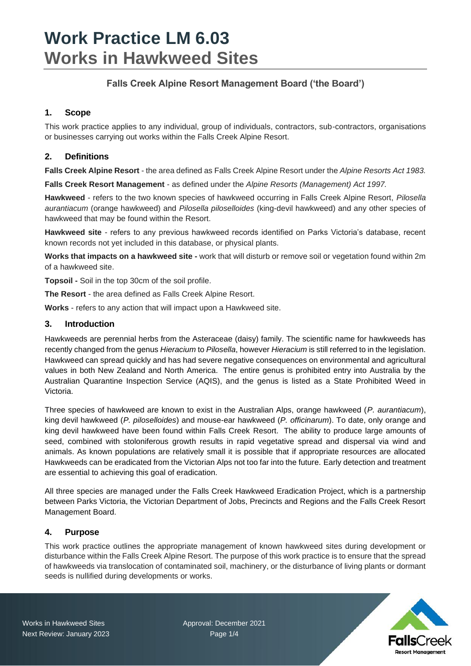## **Falls Creek Alpine Resort Management Board ('the Board')**

## **1. Scope**

This work practice applies to any individual, group of individuals, contractors, sub-contractors, organisations or businesses carrying out works within the Falls Creek Alpine Resort.

## **2. Definitions**

**Falls Creek Alpine Resort** - the area defined as Falls Creek Alpine Resort under the *Alpine Resorts Act 1983.*

**Falls Creek Resort Management** - as defined under the *Alpine Resorts (Management) Act 1997.*

**Hawkweed** - refers to the two known species of hawkweed occurring in Falls Creek Alpine Resort, *Pilosella aurantiacum* (orange hawkweed) and *Pilosella piloselloides* (king-devil hawkweed) and any other species of hawkweed that may be found within the Resort.

**Hawkweed site** - refers to any previous hawkweed records identified on Parks Victoria's database, recent known records not yet included in this database, or physical plants.

**Works that impacts on a hawkweed site -** work that will disturb or remove soil or vegetation found within 2m of a hawkweed site.

**Topsoil -** Soil in the top 30cm of the soil profile.

**The Resort** - the area defined as Falls Creek Alpine Resort.

**Works** - refers to any action that will impact upon a Hawkweed site.

#### **3. Introduction**

Hawkweeds are perennial herbs from the Asteraceae (daisy) family. The scientific name for hawkweeds has recently changed from the genus *Hieracium* to *Pilosella*, however *Hieracium* is still referred to in the legislation. Hawkweed can spread quickly and has had severe negative consequences on environmental and agricultural values in both New Zealand and North America. The entire genus is prohibited entry into Australia by the Australian Quarantine Inspection Service (AQIS), and the genus is listed as a State Prohibited Weed in Victoria.

Three species of hawkweed are known to exist in the Australian Alps, orange hawkweed (*P. aurantiacum*), king devil hawkweed (*P. piloselloides*) and mouse-ear hawkweed (*P. officinarum*). To date, only orange and king devil hawkweed have been found within Falls Creek Resort. The ability to produce large amounts of seed, combined with stoloniferous growth results in rapid vegetative spread and dispersal via wind and animals. As known populations are relatively small it is possible that if appropriate resources are allocated Hawkweeds can be eradicated from the Victorian Alps not too far into the future. Early detection and treatment are essential to achieving this goal of eradication.

All three species are managed under the Falls Creek Hawkweed Eradication Project, which is a partnership between Parks Victoria, the Victorian Department of Jobs, Precincts and Regions and the Falls Creek Resort Management Board.

#### **4. Purpose**

This work practice outlines the appropriate management of known hawkweed sites during development or disturbance within the Falls Creek Alpine Resort. The purpose of this work practice is to ensure that the spread of hawkweeds via translocation of contaminated soil, machinery, or the disturbance of living plants or dormant seeds is nullified during developments or works.

Works in Hawkweed Sites **Approval: December 2021** 

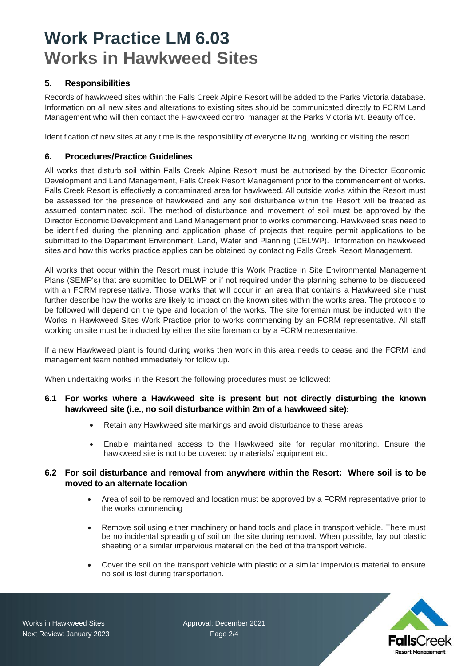## **5. Responsibilities**

Records of hawkweed sites within the Falls Creek Alpine Resort will be added to the Parks Victoria database. Information on all new sites and alterations to existing sites should be communicated directly to FCRM Land Management who will then contact the Hawkweed control manager at the Parks Victoria Mt. Beauty office.

Identification of new sites at any time is the responsibility of everyone living, working or visiting the resort.

#### **6. Procedures/Practice Guidelines**

All works that disturb soil within Falls Creek Alpine Resort must be authorised by the Director Economic Development and Land Management, Falls Creek Resort Management prior to the commencement of works. Falls Creek Resort is effectively a contaminated area for hawkweed. All outside works within the Resort must be assessed for the presence of hawkweed and any soil disturbance within the Resort will be treated as assumed contaminated soil. The method of disturbance and movement of soil must be approved by the Director Economic Development and Land Management prior to works commencing. Hawkweed sites need to be identified during the planning and application phase of projects that require permit applications to be submitted to the Department Environment, Land, Water and Planning (DELWP). Information on hawkweed sites and how this works practice applies can be obtained by contacting Falls Creek Resort Management.

All works that occur within the Resort must include this Work Practice in Site Environmental Management Plans (SEMP's) that are submitted to DELWP or if not required under the planning scheme to be discussed with an FCRM representative. Those works that will occur in an area that contains a Hawkweed site must further describe how the works are likely to impact on the known sites within the works area. The protocols to be followed will depend on the type and location of the works. The site foreman must be inducted with the Works in Hawkweed Sites Work Practice prior to works commencing by an FCRM representative. All staff working on site must be inducted by either the site foreman or by a FCRM representative.

If a new Hawkweed plant is found during works then work in this area needs to cease and the FCRM land management team notified immediately for follow up.

When undertaking works in the Resort the following procedures must be followed:

#### **6.1 For works where a Hawkweed site is present but not directly disturbing the known hawkweed site (i.e., no soil disturbance within 2m of a hawkweed site):**

- Retain any Hawkweed site markings and avoid disturbance to these areas
- Enable maintained access to the Hawkweed site for regular monitoring. Ensure the hawkweed site is not to be covered by materials/ equipment etc.

#### **6.2 For soil disturbance and removal from anywhere within the Resort: Where soil is to be moved to an alternate location**

- Area of soil to be removed and location must be approved by a FCRM representative prior to the works commencing
- Remove soil using either machinery or hand tools and place in transport vehicle. There must be no incidental spreading of soil on the site during removal. When possible, lay out plastic sheeting or a similar impervious material on the bed of the transport vehicle.
- Cover the soil on the transport vehicle with plastic or a similar impervious material to ensure no soil is lost during transportation.



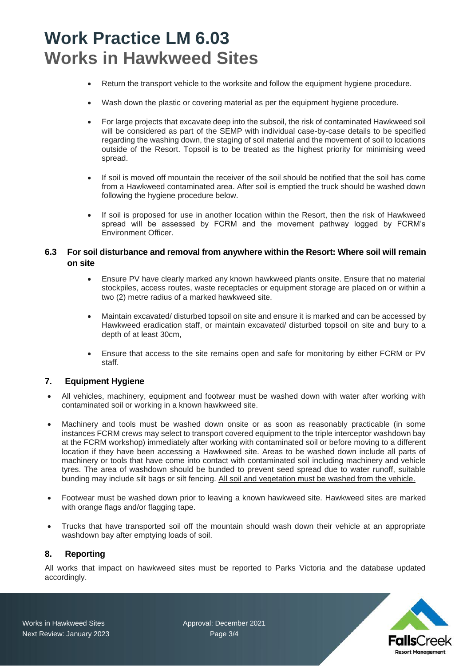- Return the transport vehicle to the worksite and follow the equipment hygiene procedure.
- Wash down the plastic or covering material as per the equipment hygiene procedure.
- For large projects that excavate deep into the subsoil, the risk of contaminated Hawkweed soil will be considered as part of the SEMP with individual case-by-case details to be specified regarding the washing down, the staging of soil material and the movement of soil to locations outside of the Resort. Topsoil is to be treated as the highest priority for minimising weed spread.
- If soil is moved off mountain the receiver of the soil should be notified that the soil has come from a Hawkweed contaminated area. After soil is emptied the truck should be washed down following the hygiene procedure below.
- If soil is proposed for use in another location within the Resort, then the risk of Hawkweed spread will be assessed by FCRM and the movement pathway logged by FCRM's Environment Officer.

#### **6.3 For soil disturbance and removal from anywhere within the Resort: Where soil will remain on site**

- Ensure PV have clearly marked any known hawkweed plants onsite. Ensure that no material stockpiles, access routes, waste receptacles or equipment storage are placed on or within a two (2) metre radius of a marked hawkweed site.
- Maintain excavated/ disturbed topsoil on site and ensure it is marked and can be accessed by Hawkweed eradication staff, or maintain excavated/ disturbed topsoil on site and bury to a depth of at least 30cm,
- Ensure that access to the site remains open and safe for monitoring by either FCRM or PV staff.

#### **7. Equipment Hygiene**

- All vehicles, machinery, equipment and footwear must be washed down with water after working with contaminated soil or working in a known hawkweed site.
- Machinery and tools must be washed down onsite or as soon as reasonably practicable (in some instances FCRM crews may select to transport covered equipment to the triple interceptor washdown bay at the FCRM workshop) immediately after working with contaminated soil or before moving to a different location if they have been accessing a Hawkweed site. Areas to be washed down include all parts of machinery or tools that have come into contact with contaminated soil including machinery and vehicle tyres. The area of washdown should be bunded to prevent seed spread due to water runoff, suitable bunding may include silt bags or silt fencing. All soil and vegetation must be washed from the vehicle.
- Footwear must be washed down prior to leaving a known hawkweed site. Hawkweed sites are marked with orange flags and/or flagging tape.
- Trucks that have transported soil off the mountain should wash down their vehicle at an appropriate washdown bay after emptying loads of soil.

#### **8. Reporting**

All works that impact on hawkweed sites must be reported to Parks Victoria and the database updated accordingly.

Works in Hawkweed Sites **Approval: December 2021**